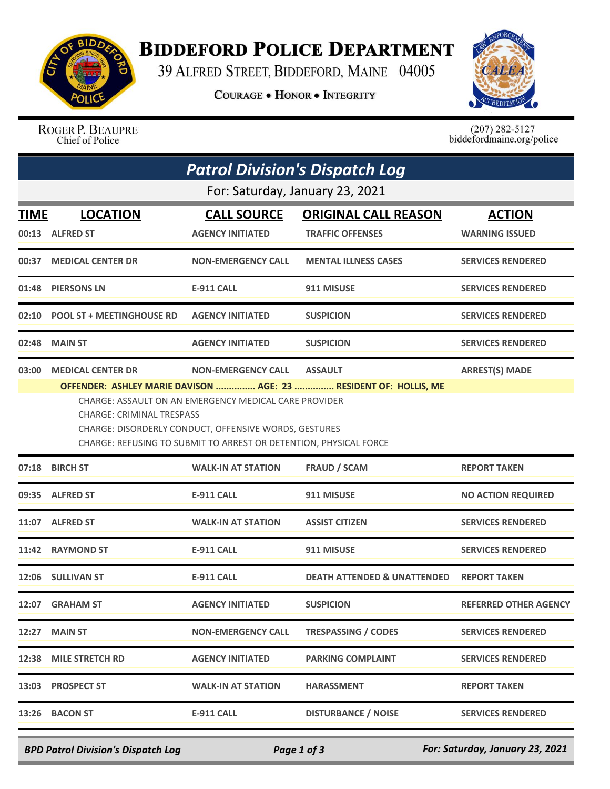

## **BIDDEFORD POLICE DEPARTMENT**

39 ALFRED STREET, BIDDEFORD, MAINE 04005

**COURAGE . HONOR . INTEGRITY** 



ROGER P. BEAUPRE Chief of Police

 $(207)$  282-5127<br>biddefordmaine.org/police

| <b>Patrol Division's Dispatch Log</b> |                                                                                                                                                                                                                         |                           |                                        |                              |  |  |
|---------------------------------------|-------------------------------------------------------------------------------------------------------------------------------------------------------------------------------------------------------------------------|---------------------------|----------------------------------------|------------------------------|--|--|
| For: Saturday, January 23, 2021       |                                                                                                                                                                                                                         |                           |                                        |                              |  |  |
| TIME                                  | <b>LOCATION</b>                                                                                                                                                                                                         | <b>CALL SOURCE</b>        | <b>ORIGINAL CALL REASON</b>            | <b>ACTION</b>                |  |  |
|                                       | 00:13 ALFRED ST                                                                                                                                                                                                         | <b>AGENCY INITIATED</b>   | <b>TRAFFIC OFFENSES</b>                | <b>WARNING ISSUED</b>        |  |  |
|                                       | 00:37 MEDICAL CENTER DR                                                                                                                                                                                                 | <b>NON-EMERGENCY CALL</b> | <b>MENTAL ILLNESS CASES</b>            | <b>SERVICES RENDERED</b>     |  |  |
| 01:48                                 | <b>PIERSONS LN</b>                                                                                                                                                                                                      | <b>E-911 CALL</b>         | 911 MISUSE                             | <b>SERVICES RENDERED</b>     |  |  |
| 02:10                                 | <b>POOL ST + MEETINGHOUSE RD</b>                                                                                                                                                                                        | <b>AGENCY INITIATED</b>   | <b>SUSPICION</b>                       | <b>SERVICES RENDERED</b>     |  |  |
| 02:48                                 | <b>MAIN ST</b>                                                                                                                                                                                                          | <b>AGENCY INITIATED</b>   | <b>SUSPICION</b>                       | <b>SERVICES RENDERED</b>     |  |  |
| 03:00                                 | <b>MEDICAL CENTER DR</b>                                                                                                                                                                                                | <b>NON-EMERGENCY CALL</b> | <b>ASSAULT</b>                         | <b>ARREST(S) MADE</b>        |  |  |
|                                       | CHARGE: ASSAULT ON AN EMERGENCY MEDICAL CARE PROVIDER<br><b>CHARGE: CRIMINAL TRESPASS</b><br>CHARGE: DISORDERLY CONDUCT, OFFENSIVE WORDS, GESTURES<br>CHARGE: REFUSING TO SUBMIT TO ARREST OR DETENTION, PHYSICAL FORCE |                           |                                        |                              |  |  |
| 07:18                                 | <b>BIRCH ST</b>                                                                                                                                                                                                         | <b>WALK-IN AT STATION</b> | <b>FRAUD / SCAM</b>                    | <b>REPORT TAKEN</b>          |  |  |
|                                       | 09:35 ALFRED ST                                                                                                                                                                                                         | <b>E-911 CALL</b>         | 911 MISUSE                             | <b>NO ACTION REQUIRED</b>    |  |  |
|                                       | 11:07 ALFRED ST                                                                                                                                                                                                         | <b>WALK-IN AT STATION</b> | <b>ASSIST CITIZEN</b>                  | <b>SERVICES RENDERED</b>     |  |  |
| 11:42                                 | <b>RAYMOND ST</b>                                                                                                                                                                                                       | <b>E-911 CALL</b>         | 911 MISUSE                             | <b>SERVICES RENDERED</b>     |  |  |
|                                       | 12:06 SULLIVAN ST                                                                                                                                                                                                       | <b>E-911 CALL</b>         | <b>DEATH ATTENDED &amp; UNATTENDED</b> | <b>REPORT TAKEN</b>          |  |  |
|                                       | 12:07 GRAHAM ST                                                                                                                                                                                                         | <b>AGENCY INITIATED</b>   | <b>SUSPICION</b>                       | <b>REFERRED OTHER AGENCY</b> |  |  |
|                                       | 12:27 MAIN ST                                                                                                                                                                                                           | <b>NON-EMERGENCY CALL</b> | <b>TRESPASSING / CODES</b>             | <b>SERVICES RENDERED</b>     |  |  |
| 12:38                                 | <b>MILE STRETCH RD</b>                                                                                                                                                                                                  | <b>AGENCY INITIATED</b>   | <b>PARKING COMPLAINT</b>               | <b>SERVICES RENDERED</b>     |  |  |
|                                       | 13:03 PROSPECT ST                                                                                                                                                                                                       | <b>WALK-IN AT STATION</b> | <b>HARASSMENT</b>                      | <b>REPORT TAKEN</b>          |  |  |
|                                       | 13:26 BACON ST                                                                                                                                                                                                          | <b>E-911 CALL</b>         | <b>DISTURBANCE / NOISE</b>             | <b>SERVICES RENDERED</b>     |  |  |

*BPD Patrol Division's Dispatch Log Page 1 of 3 For: Saturday, January 23, 2021*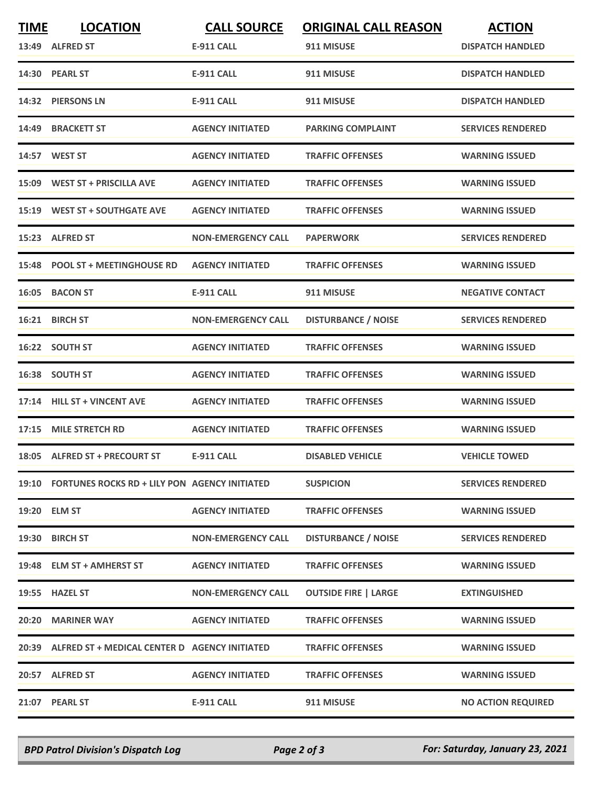| <b>TIME</b> | <b>LOCATION</b><br>13:49 ALFRED ST                  | <b>CALL SOURCE</b><br><b>E-911 CALL</b> | <b>ORIGINAL CALL REASON</b><br>911 MISUSE | <b>ACTION</b><br><b>DISPATCH HANDLED</b> |
|-------------|-----------------------------------------------------|-----------------------------------------|-------------------------------------------|------------------------------------------|
|             | 14:30 PEARL ST                                      | <b>E-911 CALL</b>                       | 911 MISUSE                                | <b>DISPATCH HANDLED</b>                  |
|             | 14:32 PIERSONS LN                                   | <b>E-911 CALL</b>                       | 911 MISUSE                                | <b>DISPATCH HANDLED</b>                  |
| 14:49       | <b>BRACKETT ST</b>                                  | <b>AGENCY INITIATED</b>                 | <b>PARKING COMPLAINT</b>                  | <b>SERVICES RENDERED</b>                 |
|             | 14:57 WEST ST                                       | <b>AGENCY INITIATED</b>                 | <b>TRAFFIC OFFENSES</b>                   | <b>WARNING ISSUED</b>                    |
|             | 15:09 WEST ST + PRISCILLA AVE                       | <b>AGENCY INITIATED</b>                 | <b>TRAFFIC OFFENSES</b>                   | <b>WARNING ISSUED</b>                    |
|             | 15:19 WEST ST + SOUTHGATE AVE                       | <b>AGENCY INITIATED</b>                 | <b>TRAFFIC OFFENSES</b>                   | <b>WARNING ISSUED</b>                    |
|             | 15:23 ALFRED ST                                     | <b>NON-EMERGENCY CALL</b>               | <b>PAPERWORK</b>                          | <b>SERVICES RENDERED</b>                 |
| 15:48       | <b>POOL ST + MEETINGHOUSE RD</b>                    | <b>AGENCY INITIATED</b>                 | <b>TRAFFIC OFFENSES</b>                   | <b>WARNING ISSUED</b>                    |
|             | 16:05 BACON ST                                      | <b>E-911 CALL</b>                       | 911 MISUSE                                | <b>NEGATIVE CONTACT</b>                  |
| 16:21       | <b>BIRCH ST</b>                                     | <b>NON-EMERGENCY CALL</b>               | <b>DISTURBANCE / NOISE</b>                | <b>SERVICES RENDERED</b>                 |
|             | 16:22 SOUTH ST                                      | <b>AGENCY INITIATED</b>                 | <b>TRAFFIC OFFENSES</b>                   | <b>WARNING ISSUED</b>                    |
| 16:38       | <b>SOUTH ST</b>                                     | <b>AGENCY INITIATED</b>                 | <b>TRAFFIC OFFENSES</b>                   | <b>WARNING ISSUED</b>                    |
| 17:14       | <b>HILL ST + VINCENT AVE</b>                        | <b>AGENCY INITIATED</b>                 | <b>TRAFFIC OFFENSES</b>                   | <b>WARNING ISSUED</b>                    |
| 17:15       | <b>MILE STRETCH RD</b>                              | <b>AGENCY INITIATED</b>                 | <b>TRAFFIC OFFENSES</b>                   | <b>WARNING ISSUED</b>                    |
|             | 18:05 ALFRED ST + PRECOURT ST                       | <b>E-911 CALL</b>                       | <b>DISABLED VEHICLE</b>                   | <b>VEHICLE TOWED</b>                     |
|             | 19:10 FORTUNES ROCKS RD + LILY PON AGENCY INITIATED |                                         | <b>SUSPICION</b>                          | <b>SERVICES RENDERED</b>                 |
|             | 19:20 ELM ST                                        | <b>AGENCY INITIATED</b>                 | <b>TRAFFIC OFFENSES</b>                   | <b>WARNING ISSUED</b>                    |
|             | 19:30 BIRCH ST                                      | <b>NON-EMERGENCY CALL</b>               | <b>DISTURBANCE / NOISE</b>                | <b>SERVICES RENDERED</b>                 |
|             | 19:48 ELM ST + AMHERST ST                           | <b>AGENCY INITIATED</b>                 | <b>TRAFFIC OFFENSES</b>                   | <b>WARNING ISSUED</b>                    |
|             | 19:55 HAZEL ST                                      | <b>NON-EMERGENCY CALL</b>               | <b>OUTSIDE FIRE   LARGE</b>               | <b>EXTINGUISHED</b>                      |
|             | 20:20 MARINER WAY                                   | <b>AGENCY INITIATED</b>                 | <b>TRAFFIC OFFENSES</b>                   | <b>WARNING ISSUED</b>                    |
|             | 20:39 ALFRED ST + MEDICAL CENTER D AGENCY INITIATED |                                         | <b>TRAFFIC OFFENSES</b>                   | <b>WARNING ISSUED</b>                    |
|             | 20:57 ALFRED ST                                     | <b>AGENCY INITIATED</b>                 | <b>TRAFFIC OFFENSES</b>                   | <b>WARNING ISSUED</b>                    |
|             | 21:07 PEARL ST                                      | E-911 CALL                              | 911 MISUSE                                | <b>NO ACTION REQUIRED</b>                |

*BPD Patrol Division's Dispatch Log Page 2 of 3 For: Saturday, January 23, 2021*